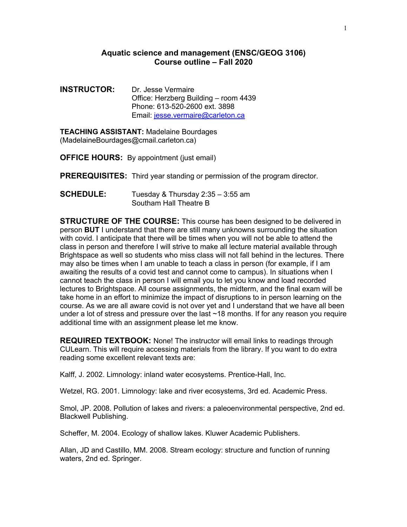## **Aquatic science and management (ENSC/GEOG 3106) Course outline – Fall 2020**

**INSTRUCTOR:** Dr. Jesse Vermaire Office: Herzberg Building – room 4439 Phone: 613-520-2600 ext. 3898 Email: jesse.vermaire@carleton.ca

**TEACHING ASSISTANT:** Madelaine Bourdages (MadelaineBourdages@cmail.carleton.ca)

**OFFICE HOURS:** By appointment (just email)

**PREREQUISITES:** Third year standing or permission of the program director.

**SCHEDULE:** Tuesday & Thursday 2:35 – 3:55 am Southam Hall Theatre B

**STRUCTURE OF THE COURSE:** This course has been designed to be delivered in person **BUT** I understand that there are still many unknowns surrounding the situation with covid. I anticipate that there will be times when you will not be able to attend the class in person and therefore I will strive to make all lecture material available through Brightspace as well so students who miss class will not fall behind in the lectures. There may also be times when I am unable to teach a class in person (for example, if I am awaiting the results of a covid test and cannot come to campus). In situations when I cannot teach the class in person I will email you to let you know and load recorded lectures to Brightspace. All course assignments, the midterm, and the final exam will be take home in an effort to minimize the impact of disruptions to in person learning on the course. As we are all aware covid is not over yet and I understand that we have all been under a lot of stress and pressure over the last ~18 months. If for any reason you require additional time with an assignment please let me know.

**REQUIRED TEXTBOOK:** None! The instructor will email links to readings through CULearn. This will require accessing materials from the library. If you want to do extra reading some excellent relevant texts are:

Kalff, J. 2002. Limnology: inland water ecosystems. Prentice-Hall, Inc.

Wetzel, RG. 2001. Limnology: lake and river ecosystems, 3rd ed. Academic Press.

Smol, JP. 2008. Pollution of lakes and rivers: a paleoenvironmental perspective, 2nd ed. Blackwell Publishing.

Scheffer, M. 2004. Ecology of shallow lakes. Kluwer Academic Publishers.

Allan, JD and Castillo, MM. 2008. Stream ecology: structure and function of running waters, 2nd ed. Springer.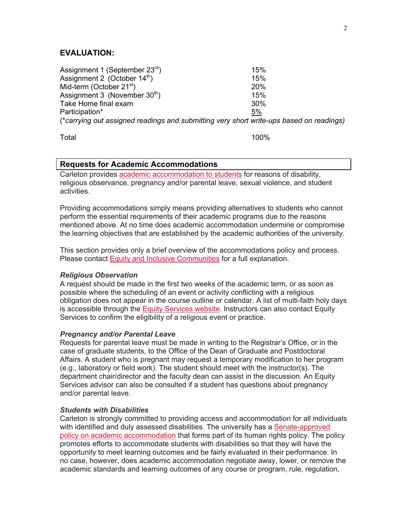# **EVALUATION:**

Assignment 1 (September 23<sup>rd</sup>) 15%  $\lambda$ ssignment 2 (October 14<sup>th</sup>) 15% Mid-term (October 21<sup>st</sup>) 20% Assignment 3 (November  $30<sup>th</sup>$ ) 15% Take Home final exam 30% Participation\* 5% (\**carrying out assigned readings and submitting very short write-ups based on readings)*

Total 100%

# **Requests for Academic Accommodations**

Carleton provides academic accommodation to students for reasons of disability, religious observance, pregnancy and/or parental leave, sexual violence, and student activities.

Providing accommodations simply means providing alternatives to students who cannot perform the essential requirements of their academic programs due to the reasons mentioned above. At no time does academic accommodation undermine or compromise the learning objectives that are established by the academic authorities of the university.

This section provides only a brief overview of the accommodations policy and process. Please contact Equity and Inclusive Communities for a full explanation.

#### *Religious Observation*

A request should be made in the first two weeks of the academic term, or as soon as possible where the scheduling of an event or activity conflicting with a religious obligation does not appear in the course outline or calendar. A list of multi-faith holy days is accessible through the Equity Services website. Instructors can also contact Equity Services to confirm the eligibility of a religious event or practice.

#### *Pregnancy and/or Parental Leave*

Requests for parental leave must be made in writing to the Registrar's Office, or in the case of graduate students, to the Office of the Dean of Graduate and Postdoctoral Affairs. A student who is pregnant may request a temporary modification to her program (e.g., laboratory or field work). The student should meet with the instructor(s). The department chair/director and the faculty dean can assist in the discussion. An Equity Services advisor can also be consulted if a student has questions about pregnancy and/or parental leave.

#### *Students with Disabilities*

Carleton is strongly committed to providing access and accommodation for all individuals with identified and duly assessed disabilities. The university has a Senate-approved policy on academic accommodation that forms part of its human rights policy. The policy promotes efforts to accommodate students with disabilities so that they will have the opportunity to meet learning outcomes and be fairly evaluated in their performance. In no case, however, does academic accommodation negotiate away, lower, or remove the academic standards and learning outcomes of any course or program, rule, regulation,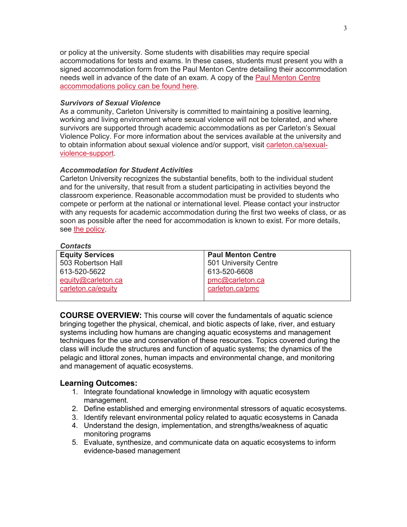or policy at the university. Some students with disabilities may require special accommodations for tests and exams. In these cases, students must present you with a signed accommodation form from the Paul Menton Centre detailing their accommodation needs well in advance of the date of an exam. A copy of the Paul Menton Centre accommodations policy can be found here.

### *Survivors of Sexual Violence*

As a community, Carleton University is committed to maintaining a positive learning, working and living environment where sexual violence will not be tolerated, and where survivors are supported through academic accommodations as per Carleton's Sexual Violence Policy. For more information about the services available at the university and to obtain information about sexual violence and/or support, visit carleton.ca/sexualviolence-support.

## *Accommodation for Student Activities*

Carleton University recognizes the substantial benefits, both to the individual student and for the university, that result from a student participating in activities beyond the classroom experience. Reasonable accommodation must be provided to students who compete or perform at the national or international level. Please contact your instructor with any requests for academic accommodation during the first two weeks of class, or as soon as possible after the need for accommodation is known to exist. For more details, see the policy.

#### *Contacts*

| <b>Equity Services</b> | <b>Paul Menton Centre</b> |
|------------------------|---------------------------|
| 503 Robertson Hall     | 501 University Centre     |
| 613-520-5622           | 613-520-6608              |
| equity@carleton.ca     | pmc@carleton.ca           |
| carleton.ca/equity     | carleton.ca/pmc           |
|                        |                           |

**COURSE OVERVIEW:** This course will cover the fundamentals of aquatic science bringing together the physical, chemical, and biotic aspects of lake, river, and estuary systems including how humans are changing aquatic ecosystems and management techniques for the use and conservation of these resources. Topics covered during the class will include the structures and function of aquatic systems; the dynamics of the pelagic and littoral zones, human impacts and environmental change, and monitoring and management of aquatic ecosystems.

## **Learning Outcomes:**

- 1. Integrate foundational knowledge in limnology with aquatic ecosystem management.
- 2. Define established and emerging environmental stressors of aquatic ecosystems.
- 3. Identify relevant environmental policy related to aquatic ecosystems in Canada
- 4. Understand the design, implementation, and strengths/weakness of aquatic monitoring programs
- 5. Evaluate, synthesize, and communicate data on aquatic ecosystems to inform evidence-based management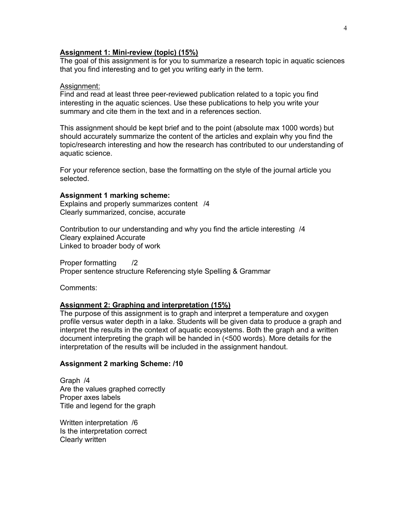# **Assignment 1: Mini-review (topic) (15%)**

The goal of this assignment is for you to summarize a research topic in aquatic sciences that you find interesting and to get you writing early in the term.

#### Assignment:

Find and read at least three peer-reviewed publication related to a topic you find interesting in the aquatic sciences. Use these publications to help you write your summary and cite them in the text and in a references section.

This assignment should be kept brief and to the point (absolute max 1000 words) but should accurately summarize the content of the articles and explain why you find the topic/research interesting and how the research has contributed to our understanding of aquatic science.

For your reference section, base the formatting on the style of the journal article you selected.

#### **Assignment 1 marking scheme:**

Explains and properly summarizes content /4 Clearly summarized, concise, accurate

Contribution to our understanding and why you find the article interesting /4 Cleary explained Accurate Linked to broader body of work

Proper formatting /2 Proper sentence structure Referencing style Spelling & Grammar

Comments:

## **Assignment 2: Graphing and interpretation (15%)**

The purpose of this assignment is to graph and interpret a temperature and oxygen profile versus water depth in a lake. Students will be given data to produce a graph and interpret the results in the context of aquatic ecosystems. Both the graph and a written document interpreting the graph will be handed in (<500 words). More details for the interpretation of the results will be included in the assignment handout.

#### **Assignment 2 marking Scheme: /10**

Graph /4 Are the values graphed correctly Proper axes labels Title and legend for the graph

Written interpretation /6 Is the interpretation correct Clearly written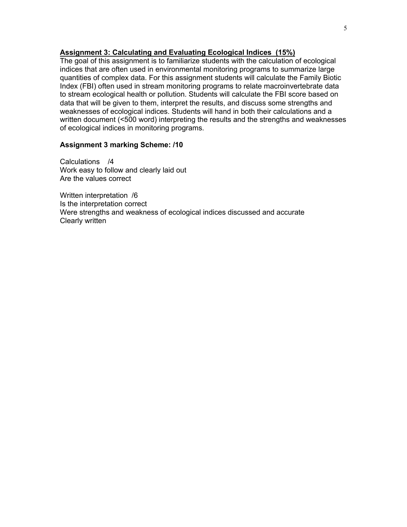## **Assignment 3: Calculating and Evaluating Ecological Indices (15%)**

The goal of this assignment is to familiarize students with the calculation of ecological indices that are often used in environmental monitoring programs to summarize large quantities of complex data. For this assignment students will calculate the Family Biotic Index (FBI) often used in stream monitoring programs to relate macroinvertebrate data to stream ecological health or pollution. Students will calculate the FBI score based on data that will be given to them, interpret the results, and discuss some strengths and weaknesses of ecological indices. Students will hand in both their calculations and a written document (<500 word) interpreting the results and the strengths and weaknesses of ecological indices in monitoring programs.

## **Assignment 3 marking Scheme: /10**

Calculations /4 Work easy to follow and clearly laid out Are the values correct

Written interpretation /6 Is the interpretation correct Were strengths and weakness of ecological indices discussed and accurate Clearly written